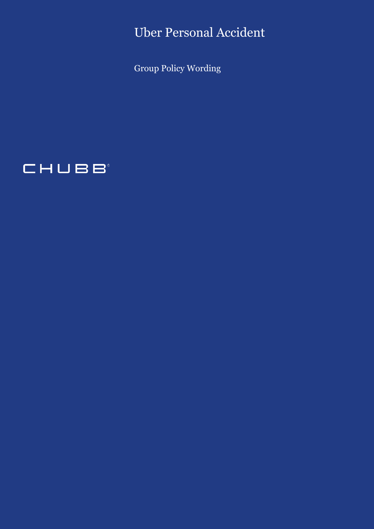Uber Personal Accident

Group Policy Wording

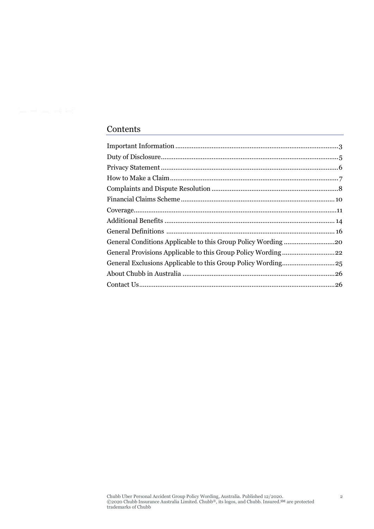# Contents

| General Exclusions Applicable to this Group Policy Wording25 |  |
|--------------------------------------------------------------|--|
|                                                              |  |
|                                                              |  |
|                                                              |  |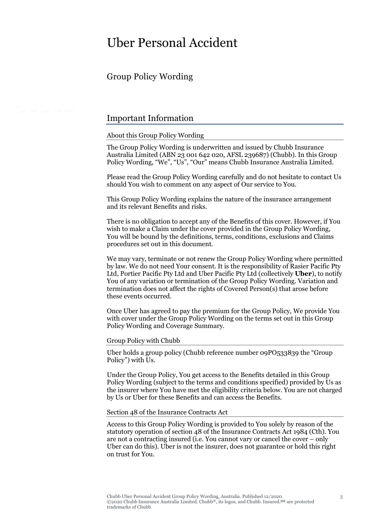# Uber Personal Accident

# Group Policy Wording

t Hulser

# <span id="page-2-0"></span>Important Information

About this Group Policy Wording

The Group Policy Wording is underwritten and issued by Chubb Insurance Australia Limited (ABN 23 001 642 020, AFSL 239687) (Chubb). In this Group Policy Wording, "We", "Us", "Our" means Chubb Insurance Australia Limited.

Please read the Group Policy Wording carefully and do not hesitate to contact Us should You wish to comment on any aspect of Our service to You.

This Group Policy Wording explains the nature of the insurance arrangement and its relevant Benefits and risks.

There is no obligation to accept any of the Benefits of this cover. However, if You wish to make a Claim under the cover provided in the Group Policy Wording, You will be bound by the definitions, terms, conditions, exclusions and Claims procedures set out in this document.

We may vary, terminate or not renew the Group Policy Wording where permitted by law. We do not need Your consent. It is the responsibility of Rasier Pacific Pty Ltd, Portier Pacific Pty Ltd and Uber Pacific Pty Ltd (collectively **Uber**), to notify You of any variation or termination of the Group Policy Wording. Variation and termination does not affect the rights of Covered Person(s) that arose before these events occurred.

Once Uber has agreed to pay the premium for the Group Policy, We provide You with cover under the Group Policy Wording on the terms set out in this Group Policy Wording and Coverage Summary.

Group Policy with Chubb

Uber holds a group policy (Chubb reference number 09PO533839 the "Group Policy") with Us.

Under the Group Policy, You get access to the Benefits detailed in this Group Policy Wording (subject to the terms and conditions specified) provided by Us as the insurer where You have met the eligibility criteria below. You are not charged by Us or Uber for these Benefits and can access the Benefits.

#### Section 48 of the Insurance Contracts Act

Access to this Group Policy Wording is provided to You solely by reason of the statutory operation of section 48 of the Insurance Contracts Act 1984 (Cth). You are not a contracting insured (i.e. You cannot vary or cancel the cover – only Uber can do this). Uber is not the insurer, does not guarantee or hold this right on trust for You.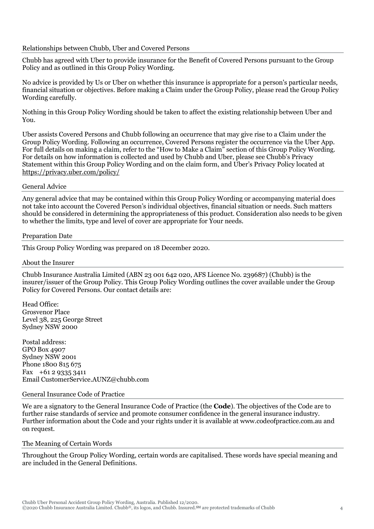# Relationships between Chubb, Uber and Covered Persons

Chubb has agreed with Uber to provide insurance for the Benefit of Covered Persons pursuant to the Group Policy and as outlined in this Group Policy Wording.

No advice is provided by Us or Uber on whether this insurance is appropriate for a person's particular needs, financial situation or objectives. Before making a Claim under the Group Policy, please read the Group Policy Wording carefully.

Nothing in this Group Policy Wording should be taken to affect the existing relationship between Uber and You.

Uber assists Covered Persons and Chubb following an occurrence that may give rise to a Claim under the Group Policy Wording. Following an occurrence, Covered Persons register the occurrence via the Uber App. For full details on making a claim, refer to the "How to Make a Claim" section of this Group Policy Wording. For details on how information is collected and used by Chubb and Uber, please see Chubb's Privacy Statement within this Group Policy Wording and on the claim form, and Uber's Privacy Policy located at <https://privacy.uber.com/policy/>

#### General Advice

Any general advice that may be contained within this Group Policy Wording or accompanying material does not take into account the Covered Person's individual objectives, financial situation or needs. Such matters should be considered in determining the appropriateness of this product. Consideration also needs to be given to whether the limits, type and level of cover are appropriate for Your needs.

#### Preparation Date

This Group Policy Wording was prepared on 18 December 2020.

#### About the Insurer

Chubb Insurance Australia Limited (ABN 23 001 642 020, AFS Licence No. 239687) (Chubb) is the insurer/issuer of the Group Policy. This Group Policy Wording outlines the cover available under the Group Policy for Covered Persons. Our contact details are:

Head Office: Grosvenor Place Level 38, 225 George Street Sydney NSW 2000

Postal address: GPO Box 4907 Sydney NSW 2001 Phone 1800 815 675 Fax +61 2 9335 3411 Email CustomerService.AUNZ@chubb.com

#### General Insurance Code of Practice

We are a signatory to the General Insurance Code of Practice (the **Code**). The objectives of the Code are to further raise standards of service and promote consumer confidence in the general insurance industry. Further information about the Code and your rights under it is available at www.codeofpractice.com.au and on request.

#### The Meaning of Certain Words

Throughout the Group Policy Wording, certain words are capitalised. These words have special meaning and are included in the General Definitions.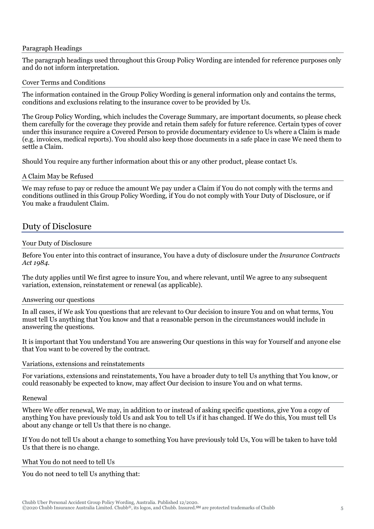#### Paragraph Headings

The paragraph headings used throughout this Group Policy Wording are intended for reference purposes only and do not inform interpretation.

#### Cover Terms and Conditions

The information contained in the Group Policy Wording is general information only and contains the terms, conditions and exclusions relating to the insurance cover to be provided by Us.

The Group Policy Wording, which includes the Coverage Summary, are important documents, so please check them carefully for the coverage they provide and retain them safely for future reference. Certain types of cover under this insurance require a Covered Person to provide documentary evidence to Us where a Claim is made (e.g. invoices, medical reports). You should also keep those documents in a safe place in case We need them to settle a Claim.

Should You require any further information about this or any other product, please contact Us.

#### A Claim May be Refused

We may refuse to pay or reduce the amount We pay under a Claim if You do not comply with the terms and conditions outlined in this Group Policy Wording, if You do not comply with Your Duty of Disclosure, or if You make a fraudulent Claim.

# <span id="page-4-0"></span>Duty of Disclosure

#### Your Duty of Disclosure

Before You enter into this contract of insurance, You have a duty of disclosure under the *Insurance Contracts Act 1984*.

The duty applies until We first agree to insure You, and where relevant, until We agree to any subsequent variation, extension, reinstatement or renewal (as applicable).

# Answering our questions

In all cases, if We ask You questions that are relevant to Our decision to insure You and on what terms, You must tell Us anything that You know and that a reasonable person in the circumstances would include in answering the questions.

It is important that You understand You are answering Our questions in this way for Yourself and anyone else that You want to be covered by the contract.

# Variations, extensions and reinstatements

For variations, extensions and reinstatements, You have a broader duty to tell Us anything that You know, or could reasonably be expected to know, may affect Our decision to insure You and on what terms.

#### Renewal

Where We offer renewal, We may, in addition to or instead of asking specific questions, give You a copy of anything You have previously told Us and ask You to tell Us if it has changed. If We do this, You must tell Us about any change or tell Us that there is no change.

If You do not tell Us about a change to something You have previously told Us, You will be taken to have told Us that there is no change.

#### What You do not need to tell Us

You do not need to tell Us anything that: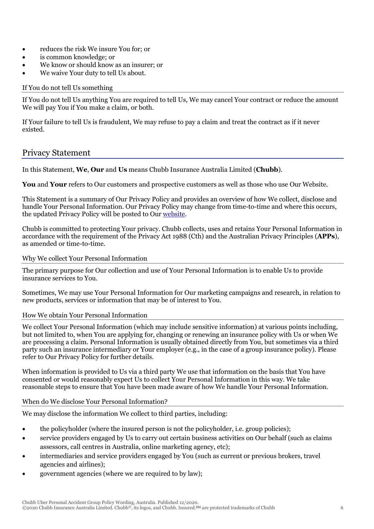- reduces the risk We insure You for; or
- is common knowledge; or
- We know or should know as an insurer; or
- We waive Your duty to tell Us about.

# If You do not tell Us something

If You do not tell Us anything You are required to tell Us, We may cancel Your contract or reduce the amount We will pay You if You make a claim, or both.

If Your failure to tell Us is fraudulent, We may refuse to pay a claim and treat the contract as if it never existed.

# <span id="page-5-0"></span>Privacy Statement

In this Statement, **We**, **Our** and **Us** means Chubb Insurance Australia Limited (**Chubb**).

**You** and **Your** refers to Our customers and prospective customers as well as those who use Our Website.

This Statement is a summary of Our Privacy Policy and provides an overview of how We collect, disclose and handle Your Personal Information. Our Privacy Policy may change from time-to-time and where this occurs, the updated Privacy Policy will be posted to Ou[r website.](https://www.chubb.com/au-en/footer/privacy.aspx)

Chubb is committed to protecting Your privacy. Chubb collects, uses and retains Your Personal Information in accordance with the requirement of the Privacy Act 1988 (Cth) and the Australian Privacy Principles (**APPs**), as amended or time-to-time.

# Why We collect Your Personal Information

The primary purpose for Our collection and use of Your Personal Information is to enable Us to provide insurance services to You.

Sometimes, We may use Your Personal Information for Our marketing campaigns and research, in relation to new products, services or information that may be of interest to You.

# How We obtain Your Personal Information

We collect Your Personal Information (which may include sensitive information) at various points including, but not limited to, when You are applying for, changing or renewing an insurance policy with Us or when We are processing a claim. Personal Information is usually obtained directly from You, but sometimes via a third party such an insurance intermediary or Your employer (e.g., in the case of a group insurance policy). Please refer to Our Privacy Policy for further details.

When information is provided to Us via a third party We use that information on the basis that You have consented or would reasonably expect Us to collect Your Personal Information in this way. We take reasonable steps to ensure that You have been made aware of how We handle Your Personal Information.

# When do We disclose Your Personal Information?

We may disclose the information We collect to third parties, including:

- the policyholder (where the insured person is not the policyholder, i.e. group policies);
- service providers engaged by Us to carry out certain business activities on Our behalf (such as claims assessors, call centres in Australia, online marketing agency, etc);
- intermediaries and service providers engaged by You (such as current or previous brokers, travel agencies and airlines);
- government agencies (where we are required to by law);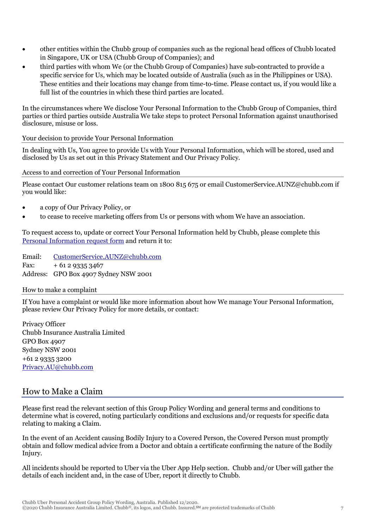- other entities within the Chubb group of companies such as the regional head offices of Chubb located in Singapore, UK or USA (Chubb Group of Companies); and
- third parties with whom We (or the Chubb Group of Companies) have sub-contracted to provide a specific service for Us, which may be located outside of Australia (such as in the Philippines or USA). These entities and their locations may change from time-to-time. Please contact us, if you would like a full list of the countries in which these third parties are located.

In the circumstances where We disclose Your Personal Information to the Chubb Group of Companies, third parties or third parties outside Australia We take steps to protect Personal Information against unauthorised disclosure, misuse or loss.

Your decision to provide Your Personal Information

In dealing with Us, You agree to provide Us with Your Personal Information, which will be stored, used and disclosed by Us as set out in this Privacy Statement and Our Privacy Policy.

Access to and correction of Your Personal Information

Please contact Our customer relations team on 1800 815 675 or email CustomerService.AUNZ@chubb.com if you would like:

- a copy of Our Privacy Policy, or
- to cease to receive marketing offers from Us or persons with whom We have an association.

To request access to, update or correct Your Personal Information held by Chubb, please complete this [Personal Information request form](https://www.chubb.com/au-en/_assets/documents/2014-03-05-personal-information-request-form.pdf) and return it to:

Email: [CustomerService.AUNZ@chubb.com](mailto:CustomerService.AUNZ@chubb.com) Fax:  $+61293353467$ Address: GPO Box 4907 Sydney NSW 2001

# How to make a complaint

If You have a complaint or would like more information about how We manage Your Personal Information, please review Our Privacy Policy for more details, or contact:

Privacy Officer Chubb Insurance Australia Limited GPO Box 4907 Sydney NSW 2001 +61 2 9335 3200 [Privacy.AU@chubb.com](mailto:Privacy.AU@chubb.com)

# <span id="page-6-0"></span>How to Make a Claim

Please first read the relevant section of this Group Policy Wording and general terms and conditions to determine what is covered, noting particularly conditions and exclusions and/or requests for specific data relating to making a Claim.

In the event of an Accident causing Bodily Injury to a Covered Person, the Covered Person must promptly obtain and follow medical advice from a Doctor and obtain a certificate confirming the nature of the Bodily Injury.

All incidents should be reported to Uber via the Uber App Help section. Chubb and/or Uber will gather the details of each incident and, in the case of Uber, report it directly to Chubb.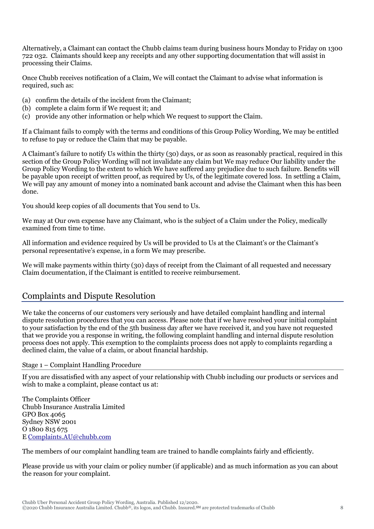Alternatively, a Claimant can contact the Chubb claims team during business hours Monday to Friday on 1300 722 032. Claimants should keep any receipts and any other supporting documentation that will assist in processing their Claims.

Once Chubb receives notification of a Claim, We will contact the Claimant to advise what information is required, such as:

- (a) confirm the details of the incident from the Claimant;
- (b) complete a claim form if We request it; and
- (c) provide any other information or help which We request to support the Claim.

If a Claimant fails to comply with the terms and conditions of this Group Policy Wording, We may be entitled to refuse to pay or reduce the Claim that may be payable.

A Claimant's failure to notify Us within the thirty (30) days, or as soon as reasonably practical, required in this section of the Group Policy Wording will not invalidate any claim but We may reduce Our liability under the Group Policy Wording to the extent to which We have suffered any prejudice due to such failure. Benefits will be payable upon receipt of written proof, as required by Us, of the legitimate covered loss. In settling a Claim, We will pay any amount of money into a nominated bank account and advise the Claimant when this has been done.

You should keep copies of all documents that You send to Us.

We may at Our own expense have any Claimant, who is the subject of a Claim under the Policy, medically examined from time to time.

All information and evidence required by Us will be provided to Us at the Claimant's or the Claimant's personal representative's expense, in a form We may prescribe.

We will make payments within thirty (30) days of receipt from the Claimant of all requested and necessary Claim documentation, if the Claimant is entitled to receive reimbursement.

# <span id="page-7-0"></span>Complaints and Dispute Resolution

We take the concerns of our customers very seriously and have detailed complaint handling and internal dispute resolution procedures that you can access. Please note that if we have resolved your initial complaint to your satisfaction by the end of the 5th business day after we have received it, and you have not requested that we provide you a response in writing, the following complaint handling and internal dispute resolution process does not apply. This exemption to the complaints process does not apply to complaints regarding a declined claim, the value of a claim, or about financial hardship.

Stage 1 – Complaint Handling Procedure

If you are dissatisfied with any aspect of your relationship with Chubb including our products or services and wish to make a complaint, please contact us at:

The Complaints Officer Chubb Insurance Australia Limited GPO Box 4065 Sydney NSW 2001 O 1800 815 675 E [Complaints.AU@chubb.com](mailto:Complaints.AU@chubb.com)

The members of our complaint handling team are trained to handle complaints fairly and efficiently.

Please provide us with your claim or policy number (if applicable) and as much information as you can about the reason for your complaint.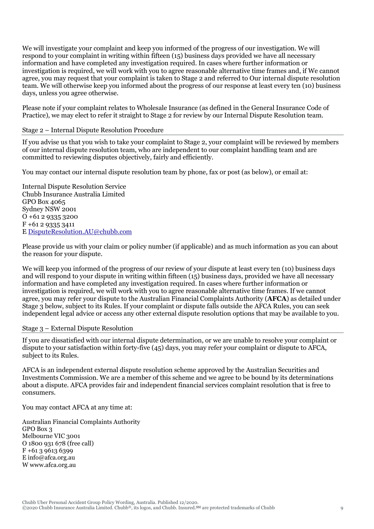We will investigate your complaint and keep you informed of the progress of our investigation. We will respond to your complaint in writing within fifteen (15) business days provided we have all necessary information and have completed any investigation required. In cases where further information or investigation is required, we will work with you to agree reasonable alternative time frames and, if We cannot agree, you may request that your complaint is taken to Stage 2 and referred to Our internal dispute resolution team. We will otherwise keep you informed about the progress of our response at least every ten (10) business days, unless you agree otherwise.

Please note if your complaint relates to Wholesale Insurance (as defined in the General Insurance Code of Practice), we may elect to refer it straight to Stage 2 for review by our Internal Dispute Resolution team.

# Stage 2 – Internal Dispute Resolution Procedure

If you advise us that you wish to take your complaint to Stage 2, your complaint will be reviewed by members of our internal dispute resolution team, who are independent to our complaint handling team and are committed to reviewing disputes objectively, fairly and efficiently.

You may contact our internal dispute resolution team by phone, fax or post (as below), or email at:

Internal Dispute Resolution Service Chubb Insurance Australia Limited GPO Box 4065 Sydney NSW 2001 O +61 2 9335 3200 F +61 2 9335 3411 E [DisputeResolution.AU@chubb.com](mailto:DisputeResolution.AU@chubb.com)

Please provide us with your claim or policy number (if applicable) and as much information as you can about the reason for your dispute.

We will keep you informed of the progress of our review of your dispute at least every ten (10) business days and will respond to your dispute in writing within fifteen (15) business days, provided we have all necessary information and have completed any investigation required. In cases where further information or investigation is required, we will work with you to agree reasonable alternative time frames. If we cannot agree, you may refer your dispute to the Australian Financial Complaints Authority (**AFCA**) as detailed under Stage 3 below, subject to its Rules. If your complaint or dispute falls outside the AFCA Rules, you can seek independent legal advice or access any other external dispute resolution options that may be available to you.

# Stage 3 – External Dispute Resolution

If you are dissatisfied with our internal dispute determination, or we are unable to resolve your complaint or dispute to your satisfaction within forty-five (45) days, you may refer your complaint or dispute to AFCA, subject to its Rules.

AFCA is an independent external dispute resolution scheme approved by the Australian Securities and Investments Commission. We are a member of this scheme and we agree to be bound by its determinations about a dispute. AFCA provides fair and independent financial services complaint resolution that is free to consumers.

You may contact AFCA at any time at:

Australian Financial Complaints Authority GPO Box 3 Melbourne VIC 3001 O 1800 931 678 (free call) F +61 3 9613 6399 E info@afca.org.au W www.afca.org.au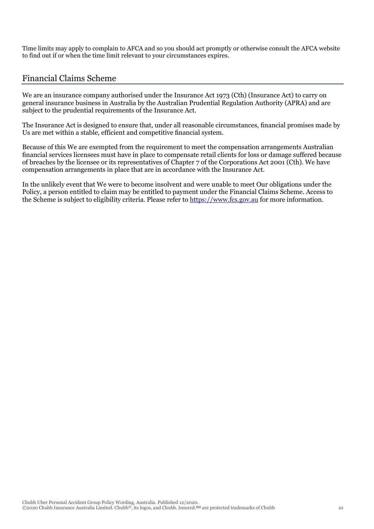Time limits may apply to complain to AFCA and so you should act promptly or otherwise consult the AFCA website to find out if or when the time limit relevant to your circumstances expires.

# <span id="page-9-0"></span>Financial Claims Scheme

We are an insurance company authorised under the Insurance Act 1973 (Cth) (Insurance Act) to carry on general insurance business in Australia by the Australian Prudential Regulation Authority (APRA) and are subject to the prudential requirements of the Insurance Act.

The Insurance Act is designed to ensure that, under all reasonable circumstances, financial promises made by Us are met within a stable, efficient and competitive financial system.

Because of this We are exempted from the requirement to meet the compensation arrangements Australian financial services licensees must have in place to compensate retail clients for loss or damage suffered because of breaches by the licensee or its representatives of Chapter 7 of the Corporations Act 2001 (Cth). We have compensation arrangements in place that are in accordance with the Insurance Act.

In the unlikely event that We were to become insolvent and were unable to meet Our obligations under the Policy, a person entitled to claim may be entitled to payment under the Financial Claims Scheme. Access to the Scheme is subject to eligibility criteria. Please refer to [https://www.fcs.gov.au](https://www.fcs.gov.au/) for more information.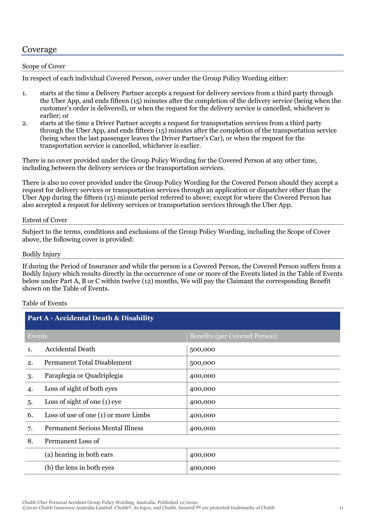# <span id="page-10-0"></span>Coverage

# Scope of Cover

In respect of each individual Covered Person, cover under the Group Policy Wording either:

- 1. starts at the time a Delivery Partner accepts a request for delivery services from a third party through the Uber App, and ends fifteen (15) minutes after the completion of the delivery service (being when the customer's order is delivered), or when the request for the delivery service is cancelled, whichever is earlier; or
- 2. starts at the time a Driver Partner accepts a request for transportation services from a third party through the Uber App, and ends fifteen (15) minutes after the completion of the transportation service (being when the last passenger leaves the Driver Partner's Car), or when the request for the transportation service is cancelled, whichever is earlier.

There is no cover provided under the Group Policy Wording for the Covered Person at any other time, including between the delivery services or the transportation services.

There is also no cover provided under the Group Policy Wording for the Covered Person should they accept a request for delivery services or transportation services through an application or dispatcher other than the Uber App during the fifteen (15) minute period referred to above; except for where the Covered Person has also accepted a request for delivery services or transportation services through the Uber App.

# Extent of Cover

Subject to the terms, conditions and exclusions of the Group Policy Wording, including the Scope of Cover above, the following cover is provided:

# Bodily Injury

If during the Period of Insurance and while the person is a Covered Person, the Covered Person suffers from a Bodily Injury which results directly in the occurrence of one or more of the Events listed in the Table of Events below under Part A, B or C within twelve (12) months, We will pay the Claimant the corresponding Benefit shown on the Table of Events.

# Table of Events

| <b>Part A - Accidental Death &amp; Disability</b> |                                         |                                      |  |
|---------------------------------------------------|-----------------------------------------|--------------------------------------|--|
| Events                                            |                                         | <b>Benefits (per Covered Person)</b> |  |
| 1.                                                | Accidental Death                        | 500,000                              |  |
| 2.                                                | <b>Permanent Total Disablement</b>      | 500,000                              |  |
| 3.                                                | Paraplegia or Quadriplegia              | 400,000                              |  |
| 4.                                                | Loss of sight of both eyes              | 400,000                              |  |
| 5.                                                | Loss of sight of one $(1)$ eye          | 400,000                              |  |
| 6.                                                | Loss of use of one $(1)$ or more Limbs  | 400,000                              |  |
| 7.                                                | <b>Permanent Serious Mental Illness</b> | 400,000                              |  |
| 8.                                                | Permanent Loss of                       |                                      |  |
|                                                   | (a) hearing in both ears                | 400,000                              |  |
|                                                   | (b) the lens in both eyes               | 400,000                              |  |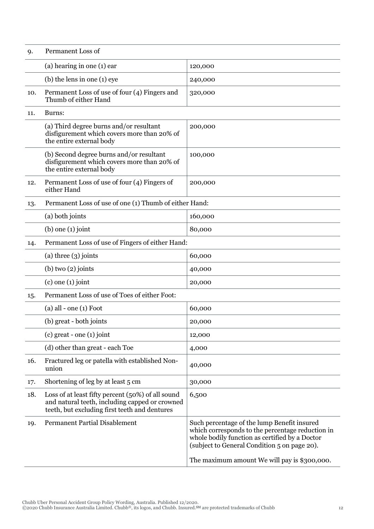| 9.  | Permanent Loss of                                                                                                                                    |                                                                                                                                                                                                                                                   |
|-----|------------------------------------------------------------------------------------------------------------------------------------------------------|---------------------------------------------------------------------------------------------------------------------------------------------------------------------------------------------------------------------------------------------------|
|     | (a) hearing in one $(1)$ ear                                                                                                                         | 120,000                                                                                                                                                                                                                                           |
|     | $(b)$ the lens in one $(1)$ eye                                                                                                                      | 240,000                                                                                                                                                                                                                                           |
| 10. | Permanent Loss of use of four (4) Fingers and<br>Thumb of either Hand                                                                                | 320,000                                                                                                                                                                                                                                           |
| 11. | Burns:                                                                                                                                               |                                                                                                                                                                                                                                                   |
|     | (a) Third degree burns and/or resultant<br>disfigurement which covers more than 20% of<br>the entire external body                                   | 200,000                                                                                                                                                                                                                                           |
|     | (b) Second degree burns and/or resultant<br>disfigurement which covers more than 20% of<br>the entire external body                                  | 100,000                                                                                                                                                                                                                                           |
| 12. | Permanent Loss of use of four (4) Fingers of<br>either Hand                                                                                          | 200,000                                                                                                                                                                                                                                           |
| 13. | Permanent Loss of use of one (1) Thumb of either Hand:                                                                                               |                                                                                                                                                                                                                                                   |
|     | (a) both joints                                                                                                                                      | 160,000                                                                                                                                                                                                                                           |
|     | $(b)$ one $(1)$ joint                                                                                                                                | 80,000                                                                                                                                                                                                                                            |
| 14. | Permanent Loss of use of Fingers of either Hand:                                                                                                     |                                                                                                                                                                                                                                                   |
|     | (a) three $(3)$ joints                                                                                                                               | 60,000                                                                                                                                                                                                                                            |
|     | $(b)$ two $(2)$ joints                                                                                                                               | 40,000                                                                                                                                                                                                                                            |
|     | $(c)$ one $(1)$ joint                                                                                                                                | 20,000                                                                                                                                                                                                                                            |
| 15. | Permanent Loss of use of Toes of either Foot:                                                                                                        |                                                                                                                                                                                                                                                   |
|     | $(a)$ all - one $(1)$ Foot                                                                                                                           | 60,000                                                                                                                                                                                                                                            |
|     | (b) great - both joints                                                                                                                              | 20,000                                                                                                                                                                                                                                            |
|     | $(c)$ great - one $(1)$ joint                                                                                                                        | 12,000                                                                                                                                                                                                                                            |
|     | (d) other than great - each Toe                                                                                                                      | 4,000                                                                                                                                                                                                                                             |
| 16. | Fractured leg or patella with established Non-<br>union                                                                                              | 40,000                                                                                                                                                                                                                                            |
| 17. | Shortening of leg by at least 5 cm                                                                                                                   | 30,000                                                                                                                                                                                                                                            |
| 18. | Loss of at least fifty percent (50%) of all sound<br>and natural teeth, including capped or crowned<br>teeth, but excluding first teeth and dentures | 6,500                                                                                                                                                                                                                                             |
| 19. | <b>Permanent Partial Disablement</b>                                                                                                                 | Such percentage of the lump Benefit insured<br>which corresponds to the percentage reduction in<br>whole bodily function as certified by a Doctor<br>(subject to General Condition 5 on page 20).<br>The maximum amount We will pay is \$300,000. |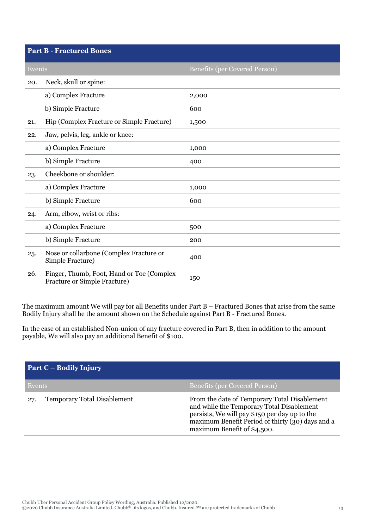| <b>Part B - Fractured Bones</b> |                                                                           |                                      |  |
|---------------------------------|---------------------------------------------------------------------------|--------------------------------------|--|
| Events                          |                                                                           | <b>Benefits (per Covered Person)</b> |  |
| 20.                             | Neck, skull or spine:                                                     |                                      |  |
|                                 | a) Complex Fracture                                                       | 2,000                                |  |
|                                 | b) Simple Fracture                                                        | 600                                  |  |
| 21.                             | Hip (Complex Fracture or Simple Fracture)                                 | 1,500                                |  |
| 22.                             | Jaw, pelvis, leg, ankle or knee:                                          |                                      |  |
|                                 | a) Complex Fracture                                                       | 1,000                                |  |
|                                 | b) Simple Fracture                                                        | 400                                  |  |
| 23.                             | Cheekbone or shoulder:                                                    |                                      |  |
|                                 | a) Complex Fracture                                                       | 1,000                                |  |
|                                 | b) Simple Fracture                                                        | 600                                  |  |
| 24.                             | Arm, elbow, wrist or ribs:                                                |                                      |  |
|                                 | a) Complex Fracture                                                       | 500                                  |  |
|                                 | b) Simple Fracture                                                        | 200                                  |  |
| 25.                             | Nose or collarbone (Complex Fracture or<br>Simple Fracture)               | 400                                  |  |
| 26.                             | Finger, Thumb, Foot, Hand or Toe (Complex<br>Fracture or Simple Fracture) | 150                                  |  |

The maximum amount We will pay for all Benefits under Part B – Fractured Bones that arise from the same Bodily Injury shall be the amount shown on the Schedule against Part B - Fractured Bones.

In the case of an established Non-union of any fracture covered in Part B, then in addition to the amount payable, We will also pay an additional Benefit of \$100.

| <b>Part C – Bodily Injury</b> |                                    |                                                                                                                                                                                                                               |
|-------------------------------|------------------------------------|-------------------------------------------------------------------------------------------------------------------------------------------------------------------------------------------------------------------------------|
| Events                        |                                    | <b>Benefits (per Covered Person)</b>                                                                                                                                                                                          |
| 27.                           | <b>Temporary Total Disablement</b> | From the date of Temporary Total Disablement<br>and while the Temporary Total Disablement<br>persists, We will pay \$150 per day up to the<br>maximum Benefit Period of thirty (30) days and a<br>maximum Benefit of \$4,500. |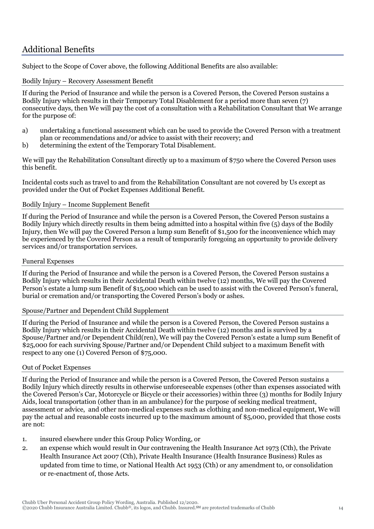# <span id="page-13-0"></span>Additional Benefits

Subject to the Scope of Cover above, the following Additional Benefits are also available:

# Bodily Injury – Recovery Assessment Benefit

If during the Period of Insurance and while the person is a Covered Person, the Covered Person sustains a Bodily Injury which results in their Temporary Total Disablement for a period more than seven (7) consecutive days, then We will pay the cost of a consultation with a Rehabilitation Consultant that We arrange for the purpose of:

- a) undertaking a functional assessment which can be used to provide the Covered Person with a treatment plan or recommendations and/or advice to assist with their recovery; and
- b) determining the extent of the Temporary Total Disablement.

We will pay the Rehabilitation Consultant directly up to a maximum of \$750 where the Covered Person uses this benefit.

Incidental costs such as travel to and from the Rehabilitation Consultant are not covered by Us except as provided under the Out of Pocket Expenses Additional Benefit.

# Bodily Injury – Income Supplement Benefit

If during the Period of Insurance and while the person is a Covered Person, the Covered Person sustains a Bodily Injury which directly results in them being admitted into a hospital within five (5) days of the Bodily Injury, then We will pay the Covered Person a lump sum Benefit of \$1,500 for the inconvenience which may be experienced by the Covered Person as a result of temporarily foregoing an opportunity to provide delivery services and/or transportation services.

# Funeral Expenses

If during the Period of Insurance and while the person is a Covered Person, the Covered Person sustains a Bodily Injury which results in their Accidental Death within twelve (12) months, We will pay the Covered Person's estate a lump sum Benefit of \$15,000 which can be used to assist with the Covered Person's funeral, burial or cremation and/or transporting the Covered Person's body or ashes.

# Spouse/Partner and Dependent Child Supplement

If during the Period of Insurance and while the person is a Covered Person, the Covered Person sustains a Bodily Injury which results in their Accidental Death within twelve (12) months and is survived by a Spouse/Partner and/or Dependent Child(ren), We will pay the Covered Person's estate a lump sum Benefit of \$25,000 for each surviving Spouse/Partner and/or Dependent Child subject to a maximum Benefit with respect to any one (1) Covered Person of \$75,000.

# Out of Pocket Expenses

If during the Period of Insurance and while the person is a Covered Person, the Covered Person sustains a Bodily Injury which directly results in otherwise unforeseeable expenses (other than expenses associated with the Covered Person's Car, Motorcycle or Bicycle or their accessories) within three (3) months for Bodily Injury Aids, local transportation (other than in an ambulance) for the purpose of seeking medical treatment, assessment or advice, and other non-medical expenses such as clothing and non-medical equipment, We will pay the actual and reasonable costs incurred up to the maximum amount of \$5,000, provided that those costs are not:

- 1. insured elsewhere under this Group Policy Wording, or
- 2. an expense which would result in Our contravening the Health Insurance Act 1973 (Cth), the Private Health Insurance Act 2007 (Cth), Private Health Insurance (Health Insurance Business) Rules as updated from time to time, or National Health Act 1953 (Cth) or any amendment to, or consolidation or re-enactment of, those Acts.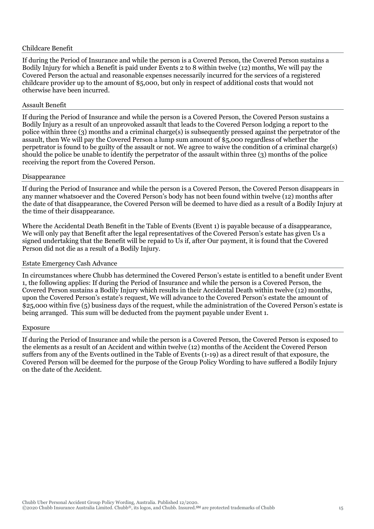#### Childcare Benefit

If during the Period of Insurance and while the person is a Covered Person, the Covered Person sustains a Bodily Injury for which a Benefit is paid under Events 2 to 8 within twelve (12) months, We will pay the Covered Person the actual and reasonable expenses necessarily incurred for the services of a registered childcare provider up to the amount of \$5,000, but only in respect of additional costs that would not otherwise have been incurred.

#### Assault Benefit

If during the Period of Insurance and while the person is a Covered Person, the Covered Person sustains a Bodily Injury as a result of an unprovoked assault that leads to the Covered Person lodging a report to the police within three (3) months and a criminal charge(s) is subsequently pressed against the perpetrator of the assault, then We will pay the Covered Person a lump sum amount of \$5,000 regardless of whether the perpetrator is found to be guilty of the assault or not. We agree to waive the condition of a criminal charge(s) should the police be unable to identify the perpetrator of the assault within three (3) months of the police receiving the report from the Covered Person.

#### Disappearance

If during the Period of Insurance and while the person is a Covered Person, the Covered Person disappears in any manner whatsoever and the Covered Person's body has not been found within twelve (12) months after the date of that disappearance, the Covered Person will be deemed to have died as a result of a Bodily Injury at the time of their disappearance.

Where the Accidental Death Benefit in the Table of Events (Event 1) is payable because of a disappearance, We will only pay that Benefit after the legal representatives of the Covered Person's estate has given Us a signed undertaking that the Benefit will be repaid to Us if, after Our payment, it is found that the Covered Person did not die as a result of a Bodily Injury.

#### Estate Emergency Cash Advance

In circumstances where Chubb has determined the Covered Person's estate is entitled to a benefit under Event 1, the following applies: If during the Period of Insurance and while the person is a Covered Person, the Covered Person sustains a Bodily Injury which results in their Accidental Death within twelve (12) months, upon the Covered Person's estate's request, We will advance to the Covered Person's estate the amount of \$25,000 within five (5) business days of the request, while the administration of the Covered Person's estate is being arranged. This sum will be deducted from the payment payable under Event 1.

#### Exposure

If during the Period of Insurance and while the person is a Covered Person, the Covered Person is exposed to the elements as a result of an Accident and within twelve (12) months of the Accident the Covered Person suffers from any of the Events outlined in the Table of Events (1-19) as a direct result of that exposure, the Covered Person will be deemed for the purpose of the Group Policy Wording to have suffered a Bodily Injury on the date of the Accident.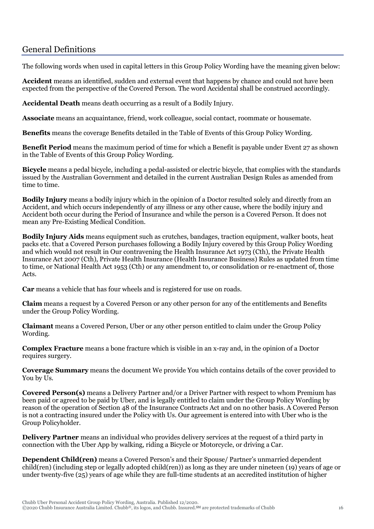# <span id="page-15-0"></span>General Definitions

The following words when used in capital letters in this Group Policy Wording have the meaning given below:

**Accident** means an identified, sudden and external event that happens by chance and could not have been expected from the perspective of the Covered Person. The word Accidental shall be construed accordingly.

**Accidental Death** means death occurring as a result of a Bodily Injury.

**Associate** means an acquaintance, friend, work colleague, social contact, roommate or housemate.

**Benefits** means the coverage Benefits detailed in the Table of Events of this Group Policy Wording.

**Benefit Period** means the maximum period of time for which a Benefit is payable under Event 27 as shown in the Table of Events of this Group Policy Wording.

**Bicycle** means a pedal bicycle, including a pedal-assisted or electric bicycle, that complies with the standards issued by the Australian Government and detailed in the current Australian Design Rules as amended from time to time.

**Bodily Injury** means a bodily injury which in the opinion of a Doctor resulted solely and directly from an Accident, and which occurs independently of any illness or any other cause, where the bodily injury and Accident both occur during the Period of Insurance and while the person is a Covered Person. It does not mean any Pre-Existing Medical Condition.

**Bodily Injury Aids** means equipment such as crutches, bandages, traction equipment, walker boots, heat packs etc. that a Covered Person purchases following a Bodily Injury covered by this Group Policy Wording and which would not result in Our contravening the Health Insurance Act 1973 (Cth), the Private Health Insurance Act 2007 (Cth), Private Health Insurance (Health Insurance Business) Rules as updated from time to time, or National Health Act 1953 (Cth) or any amendment to, or consolidation or re-enactment of, those Acts.

**Car** means a vehicle that has four wheels and is registered for use on roads.

**Claim** means a request by a Covered Person or any other person for any of the entitlements and Benefits under the Group Policy Wording.

**Claimant** means a Covered Person, Uber or any other person entitled to claim under the Group Policy Wording.

**Complex Fracture** means a bone fracture which is visible in an x-ray and, in the opinion of a Doctor requires surgery.

**Coverage Summary** means the document We provide You which contains details of the cover provided to You by Us.

**Covered Person(s)** means a Delivery Partner and/or a Driver Partner with respect to whom Premium has been paid or agreed to be paid by Uber, and is legally entitled to claim under the Group Policy Wording by reason of the operation of Section 48 of the Insurance Contracts Act and on no other basis. A Covered Person is not a contracting insured under the Policy with Us. Our agreement is entered into with Uber who is the Group Policyholder.

**Delivery Partner** means an individual who provides delivery services at the request of a third party in connection with the Uber App by walking, riding a Bicycle or Motorcycle, or driving a Car.

**Dependent Child(ren)** means a Covered Person's and their Spouse/ Partner's unmarried dependent child(ren) (including step or legally adopted child(ren)) as long as they are under nineteen (19) years of age or under twenty-five (25) years of age while they are full-time students at an accredited institution of higher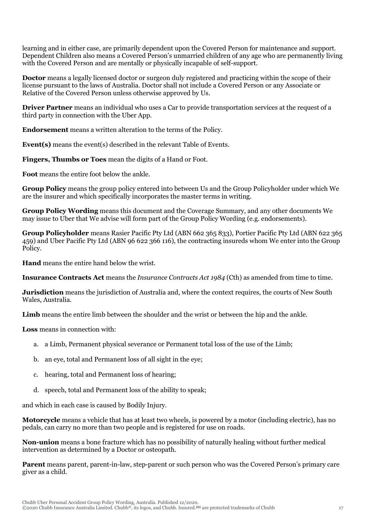learning and in either case, are primarily dependent upon the Covered Person for maintenance and support. Dependent Children also means a Covered Person's unmarried children of any age who are permanently living with the Covered Person and are mentally or physically incapable of self-support.

**Doctor** means a legally licensed doctor or surgeon duly registered and practicing within the scope of their license pursuant to the laws of Australia. Doctor shall not include a Covered Person or any Associate or Relative of the Covered Person unless otherwise approved by Us.

**Driver Partner** means an individual who uses a Car to provide transportation services at the request of a third party in connection with the Uber App.

**Endorsement** means a written alteration to the terms of the Policy.

**Event(s)** means the event(s) described in the relevant Table of Events.

**Fingers, Thumbs or Toes** mean the digits of a Hand or Foot.

**Foot** means the entire foot below the ankle.

**Group Policy** means the group policy entered into between Us and the Group Policyholder under which We are the insurer and which specifically incorporates the master terms in writing.

**Group Policy Wording** means this document and the Coverage Summary, and any other documents We may issue to Uber that We advise will form part of the Group Policy Wording (e.g. endorsements).

**Group Policyholder** means Rasier Pacific Pty Ltd (ABN 662 365 833), Portier Pacific Pty Ltd (ABN 622 365 459) and Uber Pacific Pty Ltd (ABN 96 622 366 116), the contracting insureds whom We enter into the Group Policy.

**Hand** means the entire hand below the wrist.

**Insurance Contracts Act** means the *Insurance Contracts Act 1984* (Cth) as amended from time to time.

**Jurisdiction** means the jurisdiction of Australia and, where the context requires, the courts of New South Wales, Australia.

**Limb** means the entire limb between the shoulder and the wrist or between the hip and the ankle.

**Loss** means in connection with:

- a. a Limb, Permanent physical severance or Permanent total loss of the use of the Limb;
- b. an eye, total and Permanent loss of all sight in the eye;
- c. hearing, total and Permanent loss of hearing;
- d. speech, total and Permanent loss of the ability to speak;

and which in each case is caused by Bodily Injury.

**Motorcycle** means a vehicle that has at least two wheels, is powered by a motor (including electric), has no pedals, can carry no more than two people and is registered for use on roads.

**Non-union** means a bone fracture which has no possibility of naturally healing without further medical intervention as determined by a Doctor or osteopath.

**Parent** means parent, parent-in-law, step-parent or such person who was the Covered Person's primary care giver as a child.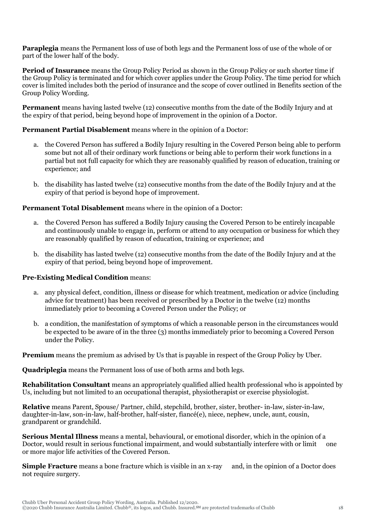**Paraplegia** means the Permanent loss of use of both legs and the Permanent loss of use of the whole of or part of the lower half of the body.

**Period of Insurance** means the Group Policy Period as shown in the Group Policy or such shorter time if the Group Policy is terminated and for which cover applies under the Group Policy. The time period for which cover is limited includes both the period of insurance and the scope of cover outlined in Benefits section of the Group Policy Wording.

**Permanent** means having lasted twelve (12) consecutive months from the date of the Bodily Injury and at the expiry of that period, being beyond hope of improvement in the opinion of a Doctor.

# **Permanent Partial Disablement** means where in the opinion of a Doctor:

- a. the Covered Person has suffered a Bodily Injury resulting in the Covered Person being able to perform some but not all of their ordinary work functions or being able to perform their work functions in a partial but not full capacity for which they are reasonably qualified by reason of education, training or experience; and
- b. the disability has lasted twelve (12) consecutive months from the date of the Bodily Injury and at the expiry of that period is beyond hope of improvement.

# **Permanent Total Disablement** means where in the opinion of a Doctor:

- a. the Covered Person has suffered a Bodily Injury causing the Covered Person to be entirely incapable and continuously unable to engage in, perform or attend to any occupation or business for which they are reasonably qualified by reason of education, training or experience; and
- b. the disability has lasted twelve (12) consecutive months from the date of the Bodily Injury and at the expiry of that period, being beyond hope of improvement.

# **Pre-Existing Medical Condition** means:

- a. any physical defect, condition, illness or disease for which treatment, medication or advice (including advice for treatment) has been received or prescribed by a Doctor in the twelve (12) months immediately prior to becoming a Covered Person under the Policy; or
- b. a condition, the manifestation of symptoms of which a reasonable person in the circumstances would be expected to be aware of in the three (3) months immediately prior to becoming a Covered Person under the Policy.

**Premium** means the premium as advised by Us that is payable in respect of the Group Policy by Uber.

**Quadriplegia** means the Permanent loss of use of both arms and both legs.

**Rehabilitation Consultant** means an appropriately qualified allied health professional who is appointed by Us, including but not limited to an occupational therapist, physiotherapist or exercise physiologist.

**Relative** means Parent, Spouse/ Partner, child, stepchild, brother, sister, brother- in-law, sister-in-law, daughter-in-law, son-in-law, half-brother, half-sister, fiancé(e), niece, nephew, uncle, aunt, cousin, grandparent or grandchild.

**Serious Mental Illness** means a mental, behavioural, or emotional disorder, which in the opinion of a Doctor, would result in serious functional impairment, and would substantially interfere with or limit one or more major life activities of the Covered Person.

**Simple Fracture** means a bone fracture which is visible in an x-ray and, in the opinion of a Doctor does not require surgery.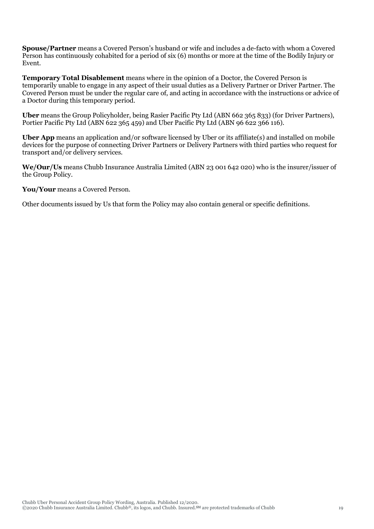**Spouse/Partner** means a Covered Person's husband or wife and includes a de-facto with whom a Covered Person has continuously cohabited for a period of six (6) months or more at the time of the Bodily Injury or Event.

**Temporary Total Disablement** means where in the opinion of a Doctor, the Covered Person is temporarily unable to engage in any aspect of their usual duties as a Delivery Partner or Driver Partner. The Covered Person must be under the regular care of, and acting in accordance with the instructions or advice of a Doctor during this temporary period.

**Uber** means the Group Policyholder, being Rasier Pacific Pty Ltd (ABN 662 365 833) (for Driver Partners), Portier Pacific Pty Ltd (ABN 622 365 459) and Uber Pacific Pty Ltd (ABN 96 622 366 116).

**Uber App** means an application and/or software licensed by Uber or its affiliate(s) and installed on mobile devices for the purpose of connecting Driver Partners or Delivery Partners with third parties who request for transport and/or delivery services.

**We/Our/Us** means Chubb Insurance Australia Limited (ABN 23 001 642 020) who is the insurer/issuer of the Group Policy.

**You/Your** means a Covered Person.

Other documents issued by Us that form the Policy may also contain general or specific definitions.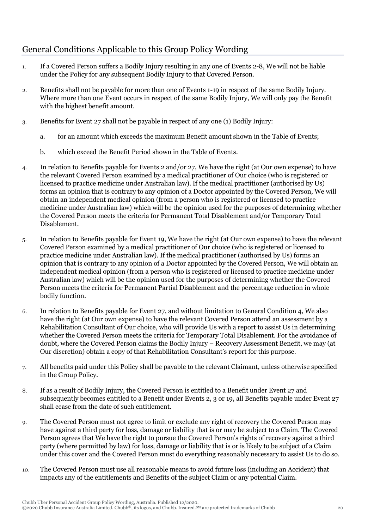# <span id="page-19-0"></span>General Conditions Applicable to this Group Policy Wording

- 1. If a Covered Person suffers a Bodily Injury resulting in any one of Events 2-8, We will not be liable under the Policy for any subsequent Bodily Injury to that Covered Person.
- 2. Benefits shall not be payable for more than one of Events 1-19 in respect of the same Bodily Injury. Where more than one Event occurs in respect of the same Bodily Injury, We will only pay the Benefit with the highest benefit amount.
- 3. Benefits for Event 27 shall not be payable in respect of any one (1) Bodily Injury:
	- a. for an amount which exceeds the maximum Benefit amount shown in the Table of Events;
	- b. which exceed the Benefit Period shown in the Table of Events.
- 4. In relation to Benefits payable for Events 2 and/or 27, We have the right (at Our own expense) to have the relevant Covered Person examined by a medical practitioner of Our choice (who is registered or licensed to practice medicine under Australian law). If the medical practitioner (authorised by Us) forms an opinion that is contrary to any opinion of a Doctor appointed by the Covered Person, We will obtain an independent medical opinion (from a person who is registered or licensed to practice medicine under Australian law) which will be the opinion used for the purposes of determining whether the Covered Person meets the criteria for Permanent Total Disablement and/or Temporary Total Disablement.
- 5. In relation to Benefits payable for Event 19, We have the right (at Our own expense) to have the relevant Covered Person examined by a medical practitioner of Our choice (who is registered or licensed to practice medicine under Australian law). If the medical practitioner (authorised by Us) forms an opinion that is contrary to any opinion of a Doctor appointed by the Covered Person, We will obtain an independent medical opinion (from a person who is registered or licensed to practice medicine under Australian law) which will be the opinion used for the purposes of determining whether the Covered Person meets the criteria for Permanent Partial Disablement and the percentage reduction in whole bodily function.
- 6. In relation to Benefits payable for Event 27, and without limitation to General Condition 4, We also have the right (at Our own expense) to have the relevant Covered Person attend an assessment by a Rehabilitation Consultant of Our choice, who will provide Us with a report to assist Us in determining whether the Covered Person meets the criteria for Temporary Total Disablement. For the avoidance of doubt, where the Covered Person claims the Bodily Injury – Recovery Assessment Benefit, we may (at Our discretion) obtain a copy of that Rehabilitation Consultant's report for this purpose.
- 7. All benefits paid under this Policy shall be payable to the relevant Claimant, unless otherwise specified in the Group Policy.
- 8. If as a result of Bodily Injury, the Covered Person is entitled to a Benefit under Event 27 and subsequently becomes entitled to a Benefit under Events 2, 3 or 19, all Benefits payable under Event 27 shall cease from the date of such entitlement.
- 9. The Covered Person must not agree to limit or exclude any right of recovery the Covered Person may have against a third party for loss, damage or liability that is or may be subject to a Claim. The Covered Person agrees that We have the right to pursue the Covered Person's rights of recovery against a third party (where permitted by law) for loss, damage or liability that is or is likely to be subject of a Claim under this cover and the Covered Person must do everything reasonably necessary to assist Us to do so.
- 10. The Covered Person must use all reasonable means to avoid future loss (including an Accident) that impacts any of the entitlements and Benefits of the subject Claim or any potential Claim.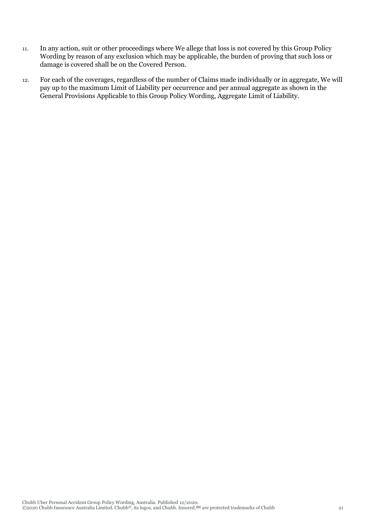- 11. In any action, suit or other proceedings where We allege that loss is not covered by this Group Policy Wording by reason of any exclusion which may be applicable, the burden of proving that such loss or damage is covered shall be on the Covered Person.
- 12. For each of the coverages, regardless of the number of Claims made individually or in aggregate, We will pay up to the maximum Limit of Liability per occurrence and per annual aggregate as shown in the General Provisions Applicable to this Group Policy Wording, Aggregate Limit of Liability.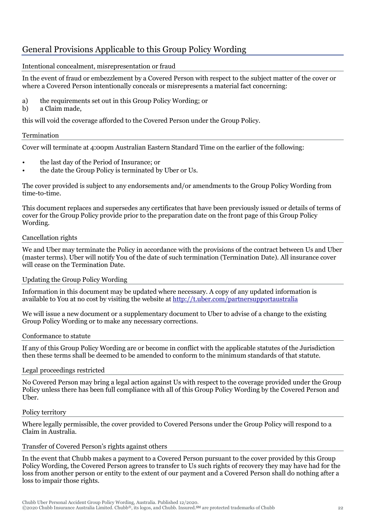# <span id="page-21-0"></span>General Provisions Applicable to this Group Policy Wording

# Intentional concealment, misrepresentation or fraud

In the event of fraud or embezzlement by a Covered Person with respect to the subject matter of the cover or where a Covered Person intentionally conceals or misrepresents a material fact concerning:

- a) the requirements set out in this Group Policy Wording; or
- b) a Claim made,

this will void the coverage afforded to the Covered Person under the Group Policy.

# Termination

Cover will terminate at 4:00pm Australian Eastern Standard Time on the earlier of the following:

- the last day of the Period of Insurance; or
- the date the Group Policy is terminated by Uber or Us.

The cover provided is subject to any endorsements and/or amendments to the Group Policy Wording from time-to-time.

This document replaces and supersedes any certificates that have been previously issued or details of terms of cover for the Group Policy provide prior to the preparation date on the front page of this Group Policy Wording.

# Cancellation rights

We and Uber may terminate the Policy in accordance with the provisions of the contract between Us and Uber (master terms). Uber will notify You of the date of such termination (Termination Date). All insurance cover will cease on the Termination Date.

# Updating the Group Policy Wording

Information in this document may be updated where necessary. A copy of any updated information is available to You at no cost by visiting the website at<http://t.uber.com/partnersupportaustralia>

We will issue a new document or a supplementary document to Uber to advise of a change to the existing Group Policy Wording or to make any necessary corrections.

# Conformance to statute

If any of this Group Policy Wording are or become in conflict with the applicable statutes of the Jurisdiction then these terms shall be deemed to be amended to conform to the minimum standards of that statute.

# Legal proceedings restricted

No Covered Person may bring a legal action against Us with respect to the coverage provided under the Group Policy unless there has been full compliance with all of this Group Policy Wording by the Covered Person and Uber.

# Policy territory

Where legally permissible, the cover provided to Covered Persons under the Group Policy will respond to a Claim in Australia.

# Transfer of Covered Person's rights against others

In the event that Chubb makes a payment to a Covered Person pursuant to the cover provided by this Group Policy Wording, the Covered Person agrees to transfer to Us such rights of recovery they may have had for the loss from another person or entity to the extent of our payment and a Covered Person shall do nothing after a loss to impair those rights.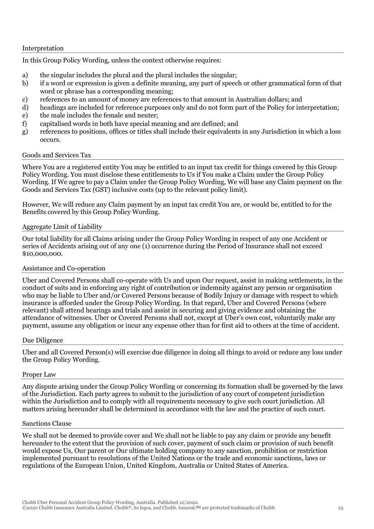#### Interpretation

In this Group Policy Wording, unless the context otherwise requires:

- a) the singular includes the plural and the plural includes the singular;
- b) if a word or expression is given a definite meaning, any part of speech or other grammatical form of that word or phrase has a corresponding meaning;
- c) references to an amount of money are references to that amount in Australian dollars; and
- d) headings are included for reference purposes only and do not form part of the Policy for interpretation;
- e) the male includes the female and neuter;
- f) capitalised words in both have special meaning and are defined; and
- g) references to positions, offices or titles shall include their equivalents in any Jurisdiction in which a loss occurs.

#### Goods and Services Tax

Where You are a registered entity You may be entitled to an input tax credit for things covered by this Group Policy Wording. You must disclose these entitlements to Us if You make a Claim under the Group Policy Wording. If We agree to pay a Claim under the Group Policy Wording, We will base any Claim payment on the Goods and Services Tax (GST) inclusive costs (up to the relevant policy limit).

However, We will reduce any Claim payment by an input tax credit You are, or would be, entitled to for the Benefits covered by this Group Policy Wording.

# Aggregate Limit of Liability

Our total liability for all Claims arising under the Group Policy Wording in respect of any one Accident or series of Accidents arising out of any one (1) occurrence during the Period of Insurance shall not exceed \$10,000,000.

# Assistance and Co-operation

Uber and Covered Persons shall co-operate with Us and upon Our request, assist in making settlements, in the conduct of suits and in enforcing any right of contribution or indemnity against any person or organisation who may be liable to Uber and/or Covered Persons because of Bodily Injury or damage with respect to which insurance is afforded under the Group Policy Wording. In that regard, Uber and Covered Persons (where relevant) shall attend hearings and trials and assist in securing and giving evidence and obtaining the attendance of witnesses. Uber or Covered Persons shall not, except at Uber's own cost, voluntarily make any payment, assume any obligation or incur any expense other than for first aid to others at the time of accident.

#### Due Diligence

Uber and all Covered Person(s) will exercise due diligence in doing all things to avoid or reduce any loss under the Group Policy Wording.

#### Proper Law

Any dispute arising under the Group Policy Wording or concerning its formation shall be governed by the laws of the Jurisdiction. Each party agrees to submit to the jurisdiction of any court of competent jurisdiction within the Jurisdiction and to comply with all requirements necessary to give such court jurisdiction. All matters arising hereunder shall be determined in accordance with the law and the practice of such court.

#### Sanctions Clause

We shall not be deemed to provide cover and We shall not be liable to pay any claim or provide any benefit hereunder to the extent that the provision of such cover, payment of such claim or provision of such benefit would expose Us, Our parent or Our ultimate holding company to any sanction, prohibition or restriction implemented pursuant to resolutions of the United Nations or the trade and economic sanctions, laws or regulations of the European Union, United Kingdom, Australia or United States of America.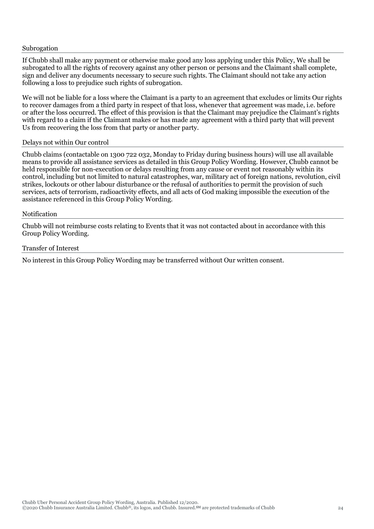#### Subrogation

If Chubb shall make any payment or otherwise make good any loss applying under this Policy, We shall be subrogated to all the rights of recovery against any other person or persons and the Claimant shall complete, sign and deliver any documents necessary to secure such rights. The Claimant should not take any action following a loss to prejudice such rights of subrogation.

We will not be liable for a loss where the Claimant is a party to an agreement that excludes or limits Our rights to recover damages from a third party in respect of that loss, whenever that agreement was made, i.e. before or after the loss occurred. The effect of this provision is that the Claimant may prejudice the Claimant's rights with regard to a claim if the Claimant makes or has made any agreement with a third party that will prevent Us from recovering the loss from that party or another party.

#### Delays not within Our control

Chubb claims (contactable on 1300 722 032, Monday to Friday during business hours) will use all available means to provide all assistance services as detailed in this Group Policy Wording. However, Chubb cannot be held responsible for non-execution or delays resulting from any cause or event not reasonably within its control, including but not limited to natural catastrophes, war, military act of foreign nations, revolution, civil strikes, lockouts or other labour disturbance or the refusal of authorities to permit the provision of such services, acts of terrorism, radioactivity effects, and all acts of God making impossible the execution of the assistance referenced in this Group Policy Wording.

#### Notification

Chubb will not reimburse costs relating to Events that it was not contacted about in accordance with this Group Policy Wording.

#### Transfer of Interest

No interest in this Group Policy Wording may be transferred without Our written consent.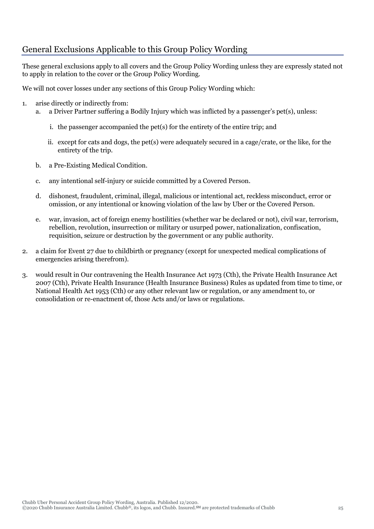# <span id="page-24-0"></span>General Exclusions Applicable to this Group Policy Wording

These general exclusions apply to all covers and the Group Policy Wording unless they are expressly stated not to apply in relation to the cover or the Group Policy Wording.

We will not cover losses under any sections of this Group Policy Wording which:

- 1. arise directly or indirectly from:
	- a. a Driver Partner suffering a Bodily Injury which was inflicted by a passenger's pet(s), unless:
		- i. the passenger accompanied the pet(s) for the entirety of the entire trip; and
		- ii. except for cats and dogs, the pet(s) were adequately secured in a cage/crate, or the like, for the entirety of the trip.
	- b. a Pre-Existing Medical Condition.
	- c. any intentional self-injury or suicide committed by a Covered Person.
	- d. dishonest, fraudulent, criminal, illegal, malicious or intentional act, reckless misconduct, error or omission, or any intentional or knowing violation of the law by Uber or the Covered Person.
	- e. war, invasion, act of foreign enemy hostilities (whether war be declared or not), civil war, terrorism, rebellion, revolution, insurrection or military or usurped power, nationalization, confiscation, requisition, seizure or destruction by the government or any public authority.
- 2. a claim for Event 27 due to childbirth or pregnancy (except for unexpected medical complications of emergencies arising therefrom).
- 3. would result in Our contravening the Health Insurance Act 1973 (Cth), the Private Health Insurance Act 2007 (Cth), Private Health Insurance (Health Insurance Business) Rules as updated from time to time, or National Health Act 1953 (Cth) or any other relevant law or regulation, or any amendment to, or consolidation or re-enactment of, those Acts and/or laws or regulations.